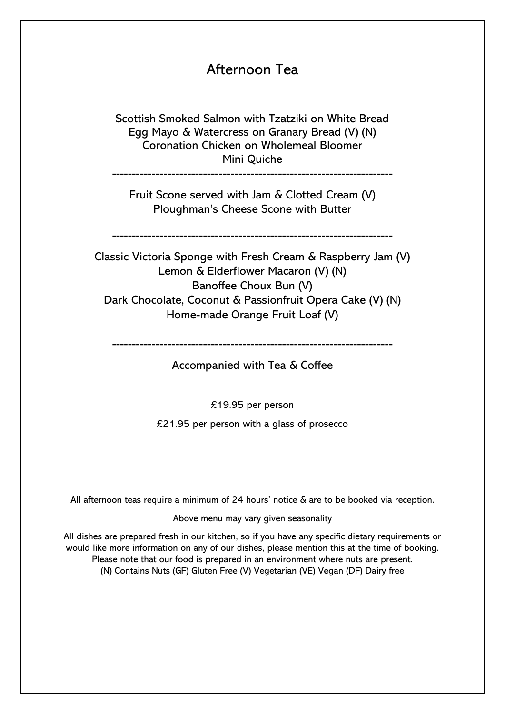## Afternoon Tea

Scottish Smoked Salmon with Tzatziki on White Bread Egg Mayo & Watercress on Granary Bread (V) (N) Coronation Chicken on Wholemeal Bloomer Mini Quiche

-----------------------------------------------------------------------

Fruit Scone served with Jam & Clotted Cream (V) Ploughman's Cheese Scone with Butter

-----------------------------------------------------------------------

Classic Victoria Sponge with Fresh Cream & Raspberry Jam (V) Lemon & Elderflower Macaron (V) (N) Banoffee Choux Bun (V) Dark Chocolate, Coconut & Passionfruit Opera Cake (V) (N) Home-made Orange Fruit Loaf (V)

-----------------------------------------------------------------------

Accompanied with Tea & Coffee

£19.95 per person

£21.95 per person with a glass of prosecco

All afternoon teas require a minimum of 24 hours' notice & are to be booked via reception.

Above menu may vary given seasonality

All dishes are prepared fresh in our kitchen, so if you have any specific dietary requirements or would like more information on any of our dishes, please mention this at the time of booking. Please note that our food is prepared in an environment where nuts are present. (N) Contains Nuts (GF) Gluten Free (V) Vegetarian (VE) Vegan (DF) Dairy free